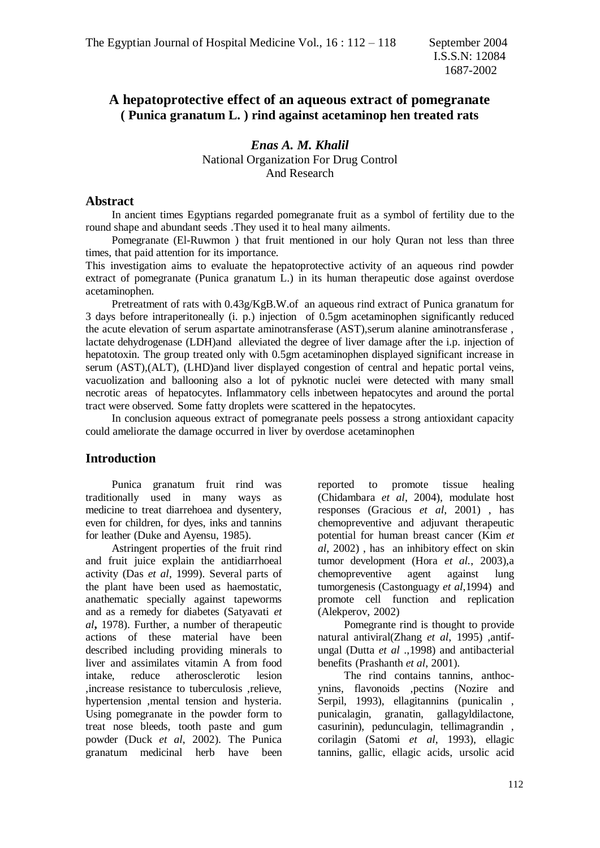# **A hepatoprotective effect of an aqueous extract of pomegranate ( Punica granatum L. ) rind against acetaminop hen treated rats**

*Enas A. M. Khalil* National Organization For Drug Control And Research

#### **Abstract**

 In ancient times Egyptians regarded pomegranate fruit as a symbol of fertility due to the round shape and abundant seeds .They used it to heal many ailments.

 Pomegranate (El-Ruwmon ) that fruit mentioned in our holy Quran not less than three times, that paid attention for its importance.

This investigation aims to evaluate the hepatoprotective activity of an aqueous rind powder extract of pomegranate (Punica granatum L.) in its human therapeutic dose against overdose acetaminophen.

 Pretreatment of rats with 0.43g/KgB.W.of an aqueous rind extract of Punica granatum for 3 days before intraperitoneally (i. p.) injection of 0.5gm acetaminophen significantly reduced the acute elevation of serum aspartate aminotransferase (AST),serum alanine aminotransferase , lactate dehydrogenase (LDH)and alleviated the degree of liver damage after the i.p. injection of hepatotoxin. The group treated only with 0.5gm acetaminophen displayed significant increase in serum (AST),(ALT), (LHD)and liver displayed congestion of central and hepatic portal veins, vacuolization and ballooning also a lot of pyknotic nuclei were detected with many small necrotic areas of hepatocytes. Inflammatory cells inbetween hepatocytes and around the portal tract were observed. Some fatty droplets were scattered in the hepatocytes.

 In conclusion aqueous extract of pomegranate peels possess a strong antioxidant capacity could ameliorate the damage occurred in liver by overdose acetaminophen

### **Introduction**

 Punica granatum fruit rind was traditionally used in many ways as medicine to treat diarrehoea and dysentery, even for children, for dyes, inks and tannins for leather (Duke and Ayensu, 1985).

 Astringent properties of the fruit rind and fruit juice explain the antidiarrhoeal activity (Das *et al,* 1999). Several parts of the plant have been used as haemostatic, anathematic specially against tapeworms and as a remedy for diabetes (Satyavati *et al***,** 1978). Further, a number of therapeutic actions of these material have been described including providing minerals to liver and assimilates vitamin A from food intake, reduce atherosclerotic lesion ,increase resistance to tuberculosis ,relieve, hypertension ,mental tension and hysteria. Using pomegranate in the powder form to treat nose bleeds, tooth paste and gum powder (Duck *et al*, 2002). The Punica granatum medicinal herb have been

reported to promote tissue healing (Chidambara *et al*, 2004), modulate host responses (Gracious *et al*, 2001) , has chemopreventive and adjuvant therapeutic potential for human breast cancer (Kim *et al,* 2002) , has an inhibitory effect on skin tumor development (Hora *et al.*, 2003),a chemopreventive agent against lung tumorgenesis (Castonguagy *et al*,1994) and promote cell function and replication (Alekperov, 2002)

 Pomegrante rind is thought to provide natural antiviral(Zhang *et al*, 1995) ,antifungal (Dutta *et al* .,1998) and antibacterial benefits (Prashanth *et al*, 2001).

 The rind contains tannins, anthocynins, flavonoids ,pectins (Nozire and Serpil, 1993), ellagitannins (punicalin , punicalagin, granatin, gallagyldilactone, casurinin), pedunculagin, tellimagrandin , corilagin (Satomi *et al*, 1993), ellagic tannins, gallic, ellagic acids, ursolic acid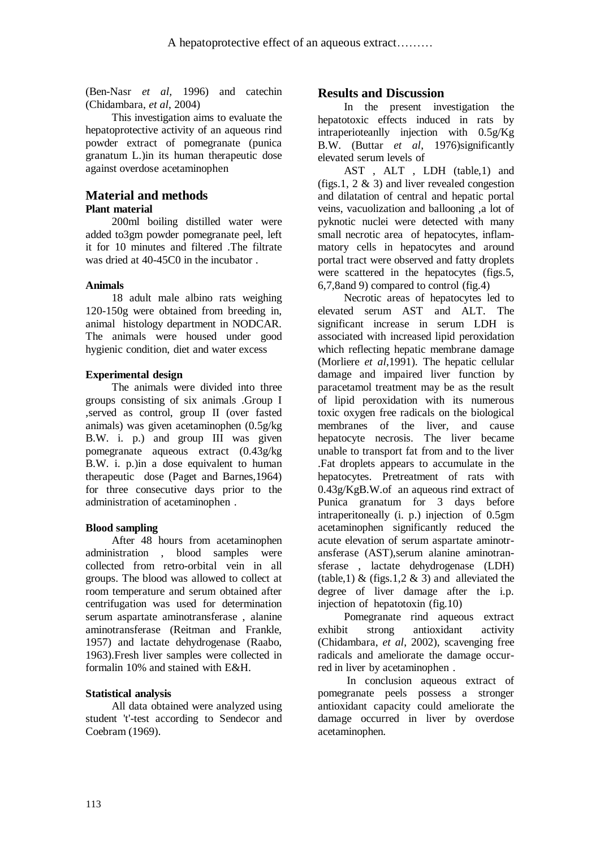(Ben-Nasr *et al,* 1996) and catechin (Chidambara, *et al*, 2004)

 This investigation aims to evaluate the hepatoprotective activity of an aqueous rind powder extract of pomegranate (punica granatum L.)in its human therapeutic dose against overdose acetaminophen

### **Material and methods Plant material**

 200ml boiling distilled water were added to3gm powder pomegranate peel, left it for 10 minutes and filtered .The filtrate was dried at 40-45C0 in the incubator.

#### **Animals**

 18 adult male albino rats weighing 120-150g were obtained from breeding in, animal histology department in NODCAR. The animals were housed under good hygienic condition, diet and water excess

#### **Experimental design**

 The animals were divided into three groups consisting of six animals .Group I ,served as control, group II (over fasted animals) was given acetaminophen (0.5g/kg B.W. i. p.) and group III was given pomegranate aqueous extract (0.43g/kg B.W. i. p.)in a dose equivalent to human therapeutic dose (Paget and Barnes,1964) for three consecutive days prior to the administration of acetaminophen .

#### **Blood sampling**

 After 48 hours from acetaminophen administration , blood samples were collected from retro-orbital vein in all groups. The blood was allowed to collect at room temperature and serum obtained after centrifugation was used for determination serum aspartate aminotransferase , alanine aminotransferase (Reitman and Frankle, 1957) and lactate dehydrogenase (Raabo, 1963).Fresh liver samples were collected in formalin 10% and stained with E&H.

#### **Statistical analysis**

 All data obtained were analyzed using student 't'-test according to Sendecor and Coebram (1969).

### **Results and Discussion**

 In the present investigation the hepatotoxic effects induced in rats by intraperioteanlly injection with 0.5g/Kg B.W. (Buttar *et al*, 1976)significantly elevated serum levels of

 AST , ALT , LDH (table,1) and (figs. 1, 2  $\&$  3) and liver revealed congestion and dilatation of central and hepatic portal veins, vacuolization and ballooning ,a lot of pyknotic nuclei were detected with many small necrotic area of hepatocytes, inflammatory cells in hepatocytes and around portal tract were observed and fatty droplets were scattered in the hepatocytes (figs.5, 6,7,8and 9) compared to control (fig.4)

 Necrotic areas of hepatocytes led to elevated serum AST and ALT. The significant increase in serum LDH is associated with increased lipid peroxidation which reflecting hepatic membrane damage (Morliere *et al*,1991). The hepatic cellular damage and impaired liver function by paracetamol treatment may be as the result of lipid peroxidation with its numerous toxic oxygen free radicals on the biological membranes of the liver, and cause hepatocyte necrosis. The liver became unable to transport fat from and to the liver .Fat droplets appears to accumulate in the hepatocytes. Pretreatment of rats with 0.43g/KgB.W.of an aqueous rind extract of Punica granatum for 3 days before intraperitoneally (i. p.) injection of 0.5gm acetaminophen significantly reduced the acute elevation of serum aspartate aminotransferase (AST),serum alanine aminotransferase , lactate dehydrogenase (LDH) (table, 1) & (figs. 1, 2 & 3) and alleviated the degree of liver damage after the i.p. injection of hepatotoxin (fig.10)

 Pomegranate rind aqueous extract exhibit strong antioxidant activity (Chidambara, *et al*, 2002), scavenging free radicals and ameliorate the damage occurred in liver by acetaminophen .

 In conclusion aqueous extract of pomegranate peels possess a stronger antioxidant capacity could ameliorate the damage occurred in liver by overdose acetaminophen.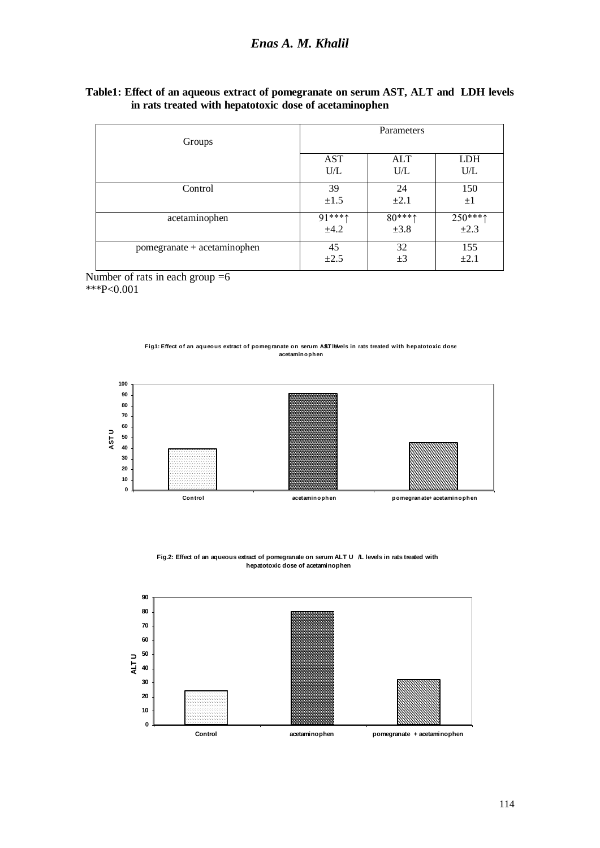## *Enas A. M. Khalil*

| Table1: Effect of an aqueous extract of pomegranate on serum AST, ALT and LDH levels |  |  |  |
|--------------------------------------------------------------------------------------|--|--|--|
| in rats treated with hepatotoxic dose of acetaminophen                               |  |  |  |

| Groups                      | Parameters           |                        |            |  |  |
|-----------------------------|----------------------|------------------------|------------|--|--|
|                             |                      |                        |            |  |  |
|                             | AST                  | <b>ALT</b>             | <b>LDH</b> |  |  |
|                             | U/L                  | U/L                    | U/L        |  |  |
| Control                     | 39                   | 24                     | 150        |  |  |
|                             | $\pm 1.5$            | $\pm 2.1$              | $\pm 1$    |  |  |
| acetaminophen               | $91***$ <sup>1</sup> | $80***$ <sup>***</sup> | $250***$   |  |  |
|                             | ±4.2                 | $\pm 3.8$              | $\pm 2.3$  |  |  |
| pomegranate + acetaminophen | 45                   | 32                     | 155        |  |  |
|                             | $\pm 2.5$            | $\pm 3$                | $\pm 2.1$  |  |  |

Number of rats in each group  $=6$ \*\*\*P<0.001





**Fig.2: Effect of an aqueous extract of pomegranate on serum ALT U /L levels in rats treated with hepatotoxic dose of acetaminophen**

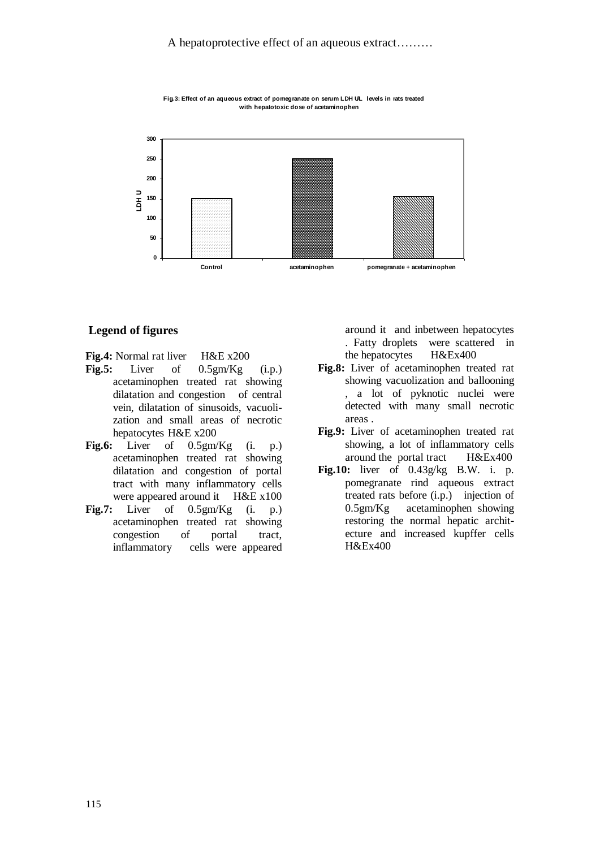

Fig.3: Effect of an aqueous extract of pomegranate on serum LDH UL levels in rats treated **with hepatotoxic dose of acetaminophen**

#### **Legend of figures**

**Fig.4:** Normal rat liver H&E x200

- **Fig.5:** Liver of 0.5gm/Kg (i.p.) acetaminophen treated rat showing dilatation and congestion of central vein, dilatation of sinusoids, vacuolization and small areas of necrotic hepatocytes H&E x200
- **Fig.6:** Liver of 0.5gm/Kg (i. p.) acetaminophen treated rat showing dilatation and congestion of portal tract with many inflammatory cells were appeared around it H&E x100
- **Fig.7:** Liver of 0.5gm/Kg (i. p.) acetaminophen treated rat showing congestion of portal tract, inflammatory cells were appeared

around it and inbetween hepatocytes . Fatty droplets were scattered in the hepatocytes H&Ex400

- **Fig.8:** Liver of acetaminophen treated rat showing vacuolization and ballooning , a lot of pyknotic nuclei were detected with many small necrotic areas .
- **Fig.9:** Liver of acetaminophen treated rat showing, a lot of inflammatory cells around the portal tract H&Ex400
- **Fig.10:** liver of 0.43g/kg B.W. i. p. pomegranate rind aqueous extract treated rats before (i.p.) injection of 0.5gm/Kg acetaminophen showing restoring the normal hepatic architecture and increased kupffer cells H&Ex400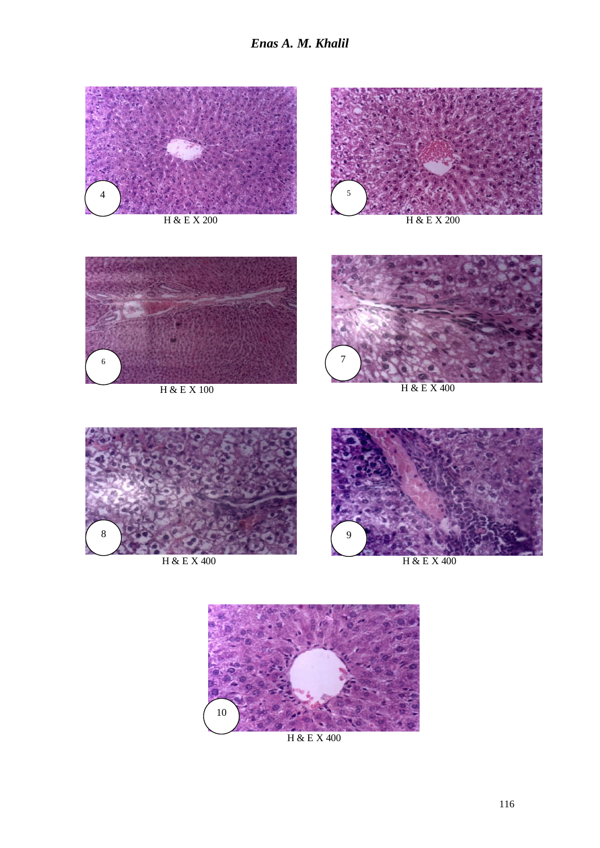*Enas A. M. Khalil*



H & E X 200



H & E X 200



H & E X 100



H & E X 400



H & E X 400



H & E X 400



H & E X 400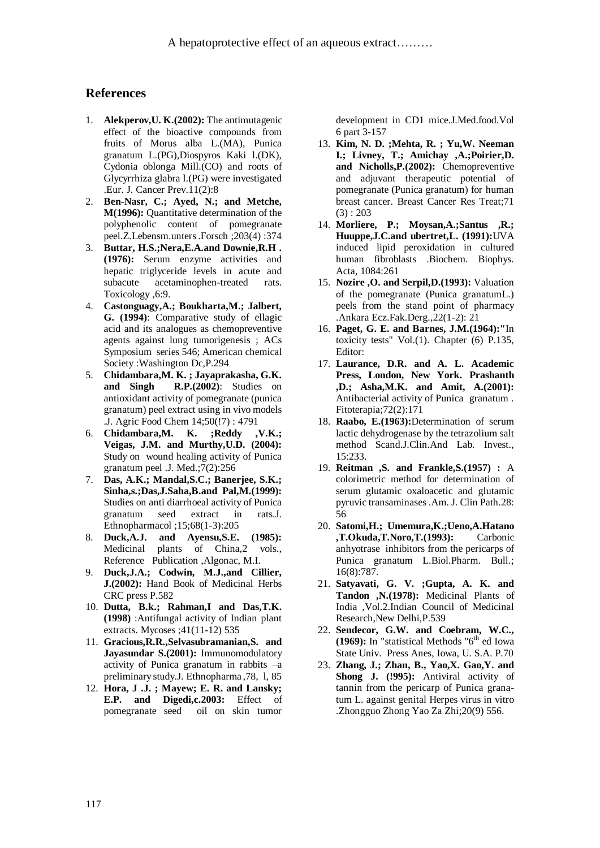#### **References**

- 1. **Alekperov,U. K.(2002):** The antimutagenic effect of the bioactive compounds from fruits of Morus alba L.(MA), Punica granatum L.(PG),Diospyros Kaki l.(DK), Cydonia oblonga Mill.(CO) and roots of Glycyrrhiza glabra l.(PG) were investigated .Eur. J. Cancer Prev.11(2):8
- 2. **Ben-Nasr, C.; Ayed, N.; and Metche, M(1996):** Quantitative determination of the polyphenolic content of pomegranate peel.Z.Lebensm.unters .Forsch ;203(4) :374
- 3. **Buttar, H.S.;Nera,E.A.and Downie,R.H . (1976):** Serum enzyme activities and hepatic triglyceride levels in acute and subacute acetaminophen-treated rats. Toxicology ,6:9.
- 4. **Castonguagy,A.; Boukharta,M.; Jalbert, G. (1994)**: Comparative study of ellagic acid and its analogues as chemopreventive agents against lung tumorigenesis ; ACs Symposium series 546; American chemical Society :Washington Dc,P.294
- 5. **Chidambara,M. K. ; Jayaprakasha, G.K. and Singh R.P.(2002)**: Studies on antioxidant activity of pomegranate (punica granatum) peel extract using in vivo models .J. Agric Food Chem 14;50(!7) : 4791
- 6. **Chidambara,M. K. ;Reddy ,V.K.; Veigas, J.M. and Murthy,U.D. (2004):**  Study on wound healing activity of Punica granatum peel .J. Med.;7(2):256
- 7. **Das, A.K.; Mandal,S.C.; Banerjee, S.K.; Sinha,s.;Das,J.Saha,B.and Pal,M.(1999):**  Studies on anti diarrhoeal activity of Punica granatum seed extract in rats.J. Ethnopharmacol ;15;68(1-3):205
- 8. **Duck,A.J. and Ayensu,S.E. (1985):** Medicinal plants of China,2 vols., Reference Publication ,Algonac, M.I.
- 9. **Duck,J.A.; Codwin, M.J.,and Cillier, J.(2002):** Hand Book of Medicinal Herbs CRC press P.582
- 10. **Dutta, B.k.; Rahman,I and Das,T.K. (1998)** :Antifungal activity of Indian plant extracts. Mycoses ;41(11-12) 535
- 11. **Gracious,R.R.,Selvasubramanian,S. and Jayasundar S.(2001):** Immunomodulatory activity of Punica granatum in rabbits –a preliminary study.J. Ethnopharma ,78, l, 85
- 12. **Hora, J .J. ; Mayew; E. R. and Lansky; E.P. and Digedi,c.2003:** Effect of pomegranate seed oil on skin tumor

development in CD1 mice.J.Med.food.Vol 6 part 3-157

- 13. **Kim, N. D. ;Mehta, R. ; Yu,W. Neeman I.; Livney, T.; Amichay ,A.;Poirier,D. and Nicholls,P.(2002):** Chemopreventive and adjuvant therapeutic potential of pomegranate (Punica granatum) for human breast cancer. Breast Cancer Res Treat;71  $(3) : 203$
- 14. **Morliere, P.; Moysan,A.;Santus ,R.; Huuppe,J.C.and ubertret,L. (1991):**UVA induced lipid peroxidation in cultured human fibroblasts .Biochem. Biophys. Acta, 1084:261
- 15. **Nozire ,O. and Serpil,D.(1993):** Valuation of the pomegranate (Punica granatumL.) peels from the stand point of pharmacy .Ankara Ecz.Fak.Derg.,22(1-2): 21
- 16. **Paget, G. E. and Barnes, J.M.(1964):"**In toxicity tests" Vol.(1). Chapter (6) P.135, Editor:
- 17. **Laurance, D.R. and A. L. Academic Press, London, New York. Prashanth ,D.; Asha,M.K. and Amit, A.(2001):** Antibacterial activity of Punica granatum . Fitoterapia;72(2):171
- 18. **Raabo, E.(1963):**Determination of serum lactic dehydrogenase by the tetrazolium salt method Scand.J.Clin.And Lab. Invest., 15:233.
- 19. **Reitman ,S. and Frankle,S.(1957) :** A colorimetric method for determination of serum glutamic oxaloacetic and glutamic pyruvic transaminases .Am. J. Clin Path.28: 56
- 20. **Satomi,H.; Umemura,K.;Ueno,A.Hatano ,T.Okuda,T.Noro,T.(1993):** Carbonic anhyotrase inhibitors from the pericarps of Punica granatum L.Biol.Pharm. Bull.; 16(8):787.
- 21. **Satyavati, G. V. ;Gupta, A. K. and Tandon ,N.(1978):** Medicinal Plants of India ,Vol.2.Indian Council of Medicinal Research,New Delhi,P.539
- 22. **Sendecor, G.W. and Coebram, W.C., (1969):** In "statistical Methods " $6<sup>th</sup>$  ed Iowa State Univ. Press Anes, Iowa, U. S.A. P.70
- 23. **Zhang, J.; Zhan, B., Yao,X. Gao,Y. and Shong J. (!995):** Antiviral activity of tannin from the pericarp of Punica granatum L. against genital Herpes virus in vitro .Zhongguo Zhong Yao Za Zhi;20(9) 556.